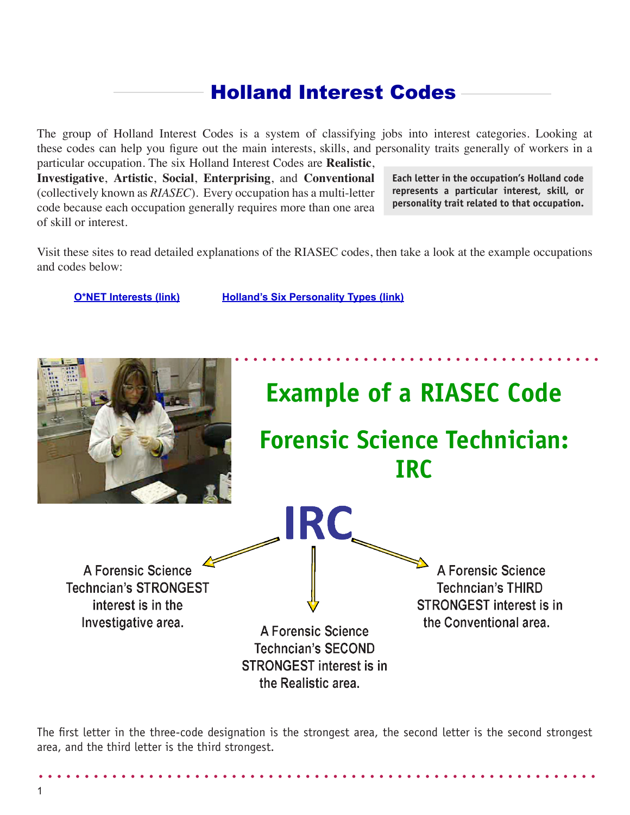## Holland Interest Codes

The group of Holland Interest Codes is a system of classifying jobs into interest categories. Looking at these codes can help you figure out the main interests, skills, and personality traits generally of workers in a particular occupation. The six Holland Interest Codes are **Realistic**,

**Investigative**, **Artistic**, **Social**, **Enterprising**, and **Conventional** (collectively known as *RIASEC*). Every occupation has a multi-letter code because each occupation generally requires more than one area of skill or interest.

**Each letter in the occupation's Holland code represents a particular interest, skill, or personality trait related to that occupation.**

Visit these sites to read detailed explanations of the RIASEC codes, then take a look at the example occupations and codes below:

**[O\\*NET Interests \(link\)](http://www.onetonline.org/find/descriptor/browse/Interests/) [Holland's Six Personality Types](http://www.careerkey.org/your-personality/holland-personality-types.html) (link)**



The first letter in the three-code designation is the strongest area, the second letter is the second strongest area, and the third letter is the third strongest.